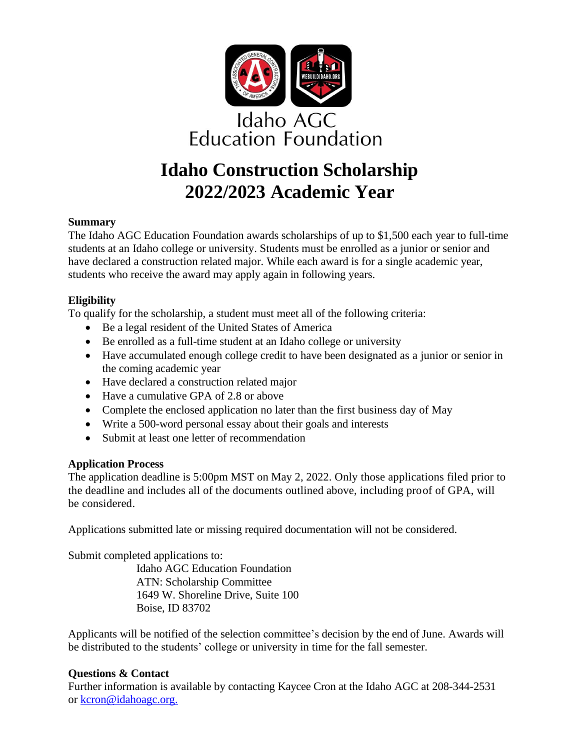

# **Idaho Construction Scholarship 2022/2023 Academic Year**

#### **Summary**

The Idaho AGC Education Foundation awards scholarships of up to \$1,500 each year to full-time students at an Idaho college or university. Students must be enrolled as a junior or senior and have declared a construction related major. While each award is for a single academic year, students who receive the award may apply again in following years.

#### **Eligibility**

To qualify for the scholarship, a student must meet all of the following criteria:

- Be a legal resident of the United States of America
- Be enrolled as a full-time student at an Idaho college or university
- Have accumulated enough college credit to have been designated as a junior or senior in the coming academic year
- Have declared a construction related major
- Have a cumulative GPA of 2.8 or above
- Complete the enclosed application no later than the first business day of May
- Write a 500-word personal essay about their goals and interests
- Submit at least one letter of recommendation

#### **Application Process**

The application deadline is 5:00pm MST on May 2, 2022. Only those applications filed prior to the deadline and includes all of the documents outlined above, including proof of GPA, will be considered.

Applications submitted late or missing required documentation will not be considered.

Submit completed applications to:

Idaho AGC Education Foundation ATN: Scholarship Committee 1649 W. Shoreline Drive, Suite 100 Boise, ID 83702

Applicants will be notified of the selection committee's decision by the end of June. Awards will be distributed to the students' college or university in time for the fall semester.

#### **Questions & Contact**

Further information is available by contacting Kaycee Cron at the Idaho AGC at 208-344-2531 or [kcron@idahoagc.org.](mailto:kcron@idahoagc.org.)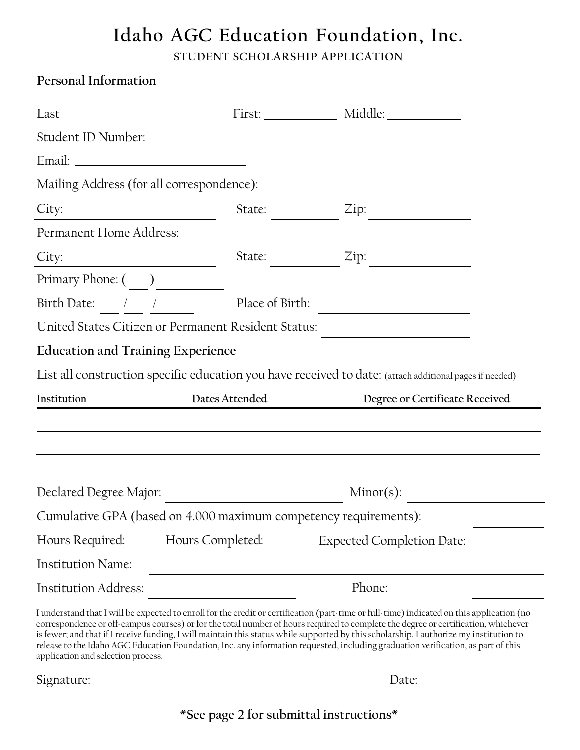# **Idaho AGC Education Foundation, Inc. STUDENT SCHOLARSHIP APPLICATION**

**Personal Information**

|                                                                                                 | Mailing Address (for all correspondence): |                                                                                                                                                                                                                                                                                                                                                                                                                                                                                                                                                                 |  |
|-------------------------------------------------------------------------------------------------|-------------------------------------------|-----------------------------------------------------------------------------------------------------------------------------------------------------------------------------------------------------------------------------------------------------------------------------------------------------------------------------------------------------------------------------------------------------------------------------------------------------------------------------------------------------------------------------------------------------------------|--|
| City:                                                                                           | State:                                    | Zip:                                                                                                                                                                                                                                                                                                                                                                                                                                                                                                                                                            |  |
| Permanent Home Address:                                                                         |                                           |                                                                                                                                                                                                                                                                                                                                                                                                                                                                                                                                                                 |  |
| City:                                                                                           | State:                                    | Zip:                                                                                                                                                                                                                                                                                                                                                                                                                                                                                                                                                            |  |
|                                                                                                 |                                           |                                                                                                                                                                                                                                                                                                                                                                                                                                                                                                                                                                 |  |
|                                                                                                 | Birth Date: / / Place of Birth:           |                                                                                                                                                                                                                                                                                                                                                                                                                                                                                                                                                                 |  |
| United States Citizen or Permanent Resident Status:<br><b>Education and Training Experience</b> |                                           |                                                                                                                                                                                                                                                                                                                                                                                                                                                                                                                                                                 |  |
|                                                                                                 |                                           |                                                                                                                                                                                                                                                                                                                                                                                                                                                                                                                                                                 |  |
| Institution                                                                                     | Dates Attended                            | Degree or Certificate Received                                                                                                                                                                                                                                                                                                                                                                                                                                                                                                                                  |  |
|                                                                                                 |                                           |                                                                                                                                                                                                                                                                                                                                                                                                                                                                                                                                                                 |  |
|                                                                                                 |                                           |                                                                                                                                                                                                                                                                                                                                                                                                                                                                                                                                                                 |  |
| Declared Degree Major:                                                                          |                                           | $Minor(s)$ :                                                                                                                                                                                                                                                                                                                                                                                                                                                                                                                                                    |  |
|                                                                                                 |                                           | Cumulative GPA (based on 4.000 maximum competency requirements):                                                                                                                                                                                                                                                                                                                                                                                                                                                                                                |  |
| Hours Required:                                                                                 | Hours Completed:                          | <b>Expected Completion Date:</b>                                                                                                                                                                                                                                                                                                                                                                                                                                                                                                                                |  |
| <b>Institution Name:</b>                                                                        |                                           |                                                                                                                                                                                                                                                                                                                                                                                                                                                                                                                                                                 |  |
| Institution Address:                                                                            |                                           | Phone:                                                                                                                                                                                                                                                                                                                                                                                                                                                                                                                                                          |  |
| application and selection process.                                                              |                                           | I understand that I will be expected to enroll for the credit or certification (part-time or full-time) indicated on this application (no<br>correspondence or off-campus courses) or for the total number of hours required to complete the degree or certification, whichever<br>is fewer; and that if I receive funding, I will maintain this status while supported by this scholarship. I authorize my institution to<br>release to the Idaho AGC Education Foundation, Inc. any information requested, including graduation verification, as part of this |  |
| Signature:                                                                                      |                                           | Date:                                                                                                                                                                                                                                                                                                                                                                                                                                                                                                                                                           |  |

**\*See page 2 for submittal instructions\***